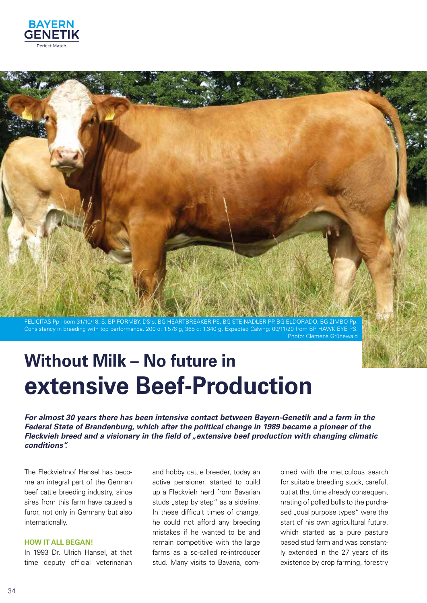



Consistency in breeding with top performance. 200 d: 1.576 g, 365 d: 1.340 g. Expected Calving: 09/11/20 from BP HAWK EYE PS. Photo: Clemens Grünewald

# **Without Milk – No future in extensive Beef-Production**

*For almost 30 years there has been intensive contact between Bayern-Genetik and a farm in the Federal State of Brandenburg, which after the political change in 1989 became a pioneer of the Fleckvieh breed and a visionary in the field of "extensive beef production with changing climatic conditions".* 

The Fleckviehhof Hansel has become an integral part of the German beef cattle breeding industry, since sires from this farm have caused a furor, not only in Germany but also internationally.

#### **HOW IT ALL BEGAN!**

In 1993 Dr. Ulrich Hansel, at that time deputy official veterinarian

and hobby cattle breeder, today an active pensioner, started to build up a Fleckvieh herd from Bavarian studs "step by step" as a sideline. In these difficult times of change, he could not afford any breeding mistakes if he wanted to be and remain competitive with the large farms as a so-called re-introducer stud. Many visits to Bavaria, combined with the meticulous search for suitable breeding stock, careful, but at that time already consequent mating of polled bulls to the purchased "dual purpose types" were the start of his own agricultural future, which started as a pure pasture based stud farm and was constantly extended in the 27 years of its existence by crop farming, forestry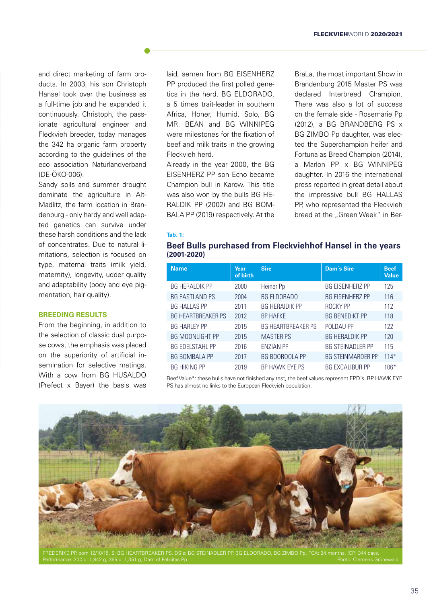and direct marketing of farm products. In 2003, his son Christoph Hansel took over the business as a full-time job and he expanded it continuously. Christoph, the passionate agricultural engineer and Fleckvieh breeder, today manages the 342 ha organic farm property according to the guidelines of the eco association Naturlandverband (DE-ÖKO-006).

Sandy soils and summer drought dominate the agriculture in Alt-Madlitz, the farm location in Brandenburg - only hardy and well adapted genetics can survive under these harsh conditions and the lack of concentrates. Due to natural limitations, selection is focused on type, maternal traits (milk yield, maternity), longevity, udder quality and adaptability (body and eye pigmentation, hair quality).

#### **BREEDING RESULTS**

From the beginning, in addition to the selection of classic dual purpose cows, the emphasis was placed on the superiority of artificial insemination for selective matings. With a cow from BG HUSALDO (Prefect x Bayer) the basis was laid, semen from BG EISENHERZ PP produced the first polled genetics in the herd, BG ELDORADO, a 5 times trait-leader in southern Africa, Honer, Humid, Solo, BG MR. BEAN and BG WINNIPEG were milestones for the fixation of beef and milk traits in the growing Fleckvieh herd.

Already in the year 2000, the BG EISENHERZ PP son Echo became Champion bull in Karow. This title was also won by the bulls BG HE-RALDIK PP (2002) and BG BOM-BALA PP (2019) respectively. At the BraLa, the most important Show in Brandenburg 2015 Master PS was declared Interbreed Champion. There was also a lot of success on the female side - Rosemarie Pp (2012), a BG BRANDBERG PS x BG ZIMBO Pp daughter, was elected the Superchampion heifer and Fortuna as Breed Champion (2014), a Marlon PP x BG WINNIPEG daughter. In 2016 the international press reported in great detail about the impressive bull BG HALLAS PP, who represented the Fleckvieh breed at the "Green Week" in Ber-

#### **Tab. 1:**

#### **Beef Bulls purchased from Fleckviehhof Hansel in the years (2001-2020)**

| <b>Name</b>               | Year<br>of birth | <b>Sire</b>               | Dam's Sire               | <b>Beef</b><br><b>Value</b> |
|---------------------------|------------------|---------------------------|--------------------------|-----------------------------|
| <b>BG HERALDIK PP</b>     | 2000             | Heiner Pp                 | <b>BG EISENHERZ PP</b>   | 125                         |
| <b>BG EASTLAND PS</b>     | 2004             | <b>BG ELDORADO</b>        | <b>BG EISENHERZ PP</b>   | 116                         |
| <b>BG HALLAS PP</b>       | 2011             | <b>BG HERAIDIK PP</b>     | ROCKY PP                 | 112                         |
| <b>BG HEARTBREAKER PS</b> | 2012             | <b>BP HAFKE</b>           | <b>BG BENEDIKT PP</b>    | 118                         |
| <b>BG HARLEY PP</b>       | 2015             | <b>BG HEARTBREAKER PS</b> | POLDAU PP                | 122                         |
| <b>BG MOONLIGHT PP</b>    | 2015             | <b>MASTER PS</b>          | <b>BG HERALDIK PP</b>    | 120                         |
| <b>BG EDELSTAHL PP</b>    | 2016             | <b>ENZIAN PP</b>          | <b>BG STEINADLER PP</b>  | 115                         |
| <b>BG BOMBALA PP</b>      | 2017             | <b>BG BOOROOLA PP</b>     | <b>BG STEINMARDER PP</b> | $114*$                      |
| <b>BG HIKING PP</b>       | 2019             | BP HAWK EYE PS            | <b>BG EXCALIBUR PP</b>   | $106*$                      |

Beef Value\*: these bulls have not finished any test, the beef values represent EPD´s. BP HAWK EYE PS has almost no links to the European Fleckvieh population.

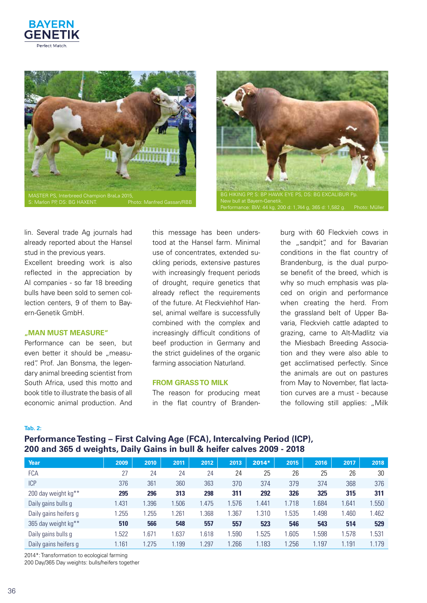





lin. Several trade Ag journals had already reported about the Hansel stud in the previous years.

Excellent breeding work is also reflected in the appreciation by AI companies - so far 18 breeding bulls have been sold to semen collection centers, 9 of them to Bayern-Genetik GmbH.

#### **"MAN MUST MEASURE"**

Performance can be seen, but even better it should be "measured". Prof. Jan Bonsma, the legendary animal breeding scientist from South Africa, used this motto and book title to illustrate the basis of all economic animal production. And

this message has been understood at the Hansel farm. Minimal use of concentrates, extended suckling periods, extensive pastures with increasingly frequent periods of drought, require genetics that already reflect the requirements of the future. At Fleckviehhof Hansel, animal welfare is successfully combined with the complex and increasingly difficult conditions of beef production in Germany and the strict guidelines of the organic farming association Naturland.

#### **FROM GRASS TO MILK**

The reason for producing meat in the flat country of Brandenburg with 60 Fleckvieh cows in the "sandpit", and for Bavarian conditions in the flat country of Brandenburg, is the dual purpose benefit of the breed, which is why so much emphasis was placed on origin and performance when creating the herd. From the grassland belt of Upper Bavaria, Fleckvieh cattle adapted to grazing, came to Alt-Madlitz via the Miesbach Breeding Association and they were also able to get acclimatised perfectly. Since the animals are out on pastures from May to November, flat lactation curves are a must - because the following still applies: "Milk

#### **Tab. 2:**

## **Performance Testing – First Calving Age (FCA), Intercalving Period (ICP), 200 and 365 d weights, Daily Gains in bull & heifer calves 2009 - 2018**

| Year                            | 2009  | 2010  | 2011 | 2012  | 2013  | $2014*$ | 2015  | 2016  | 2017  | 2018  |
|---------------------------------|-------|-------|------|-------|-------|---------|-------|-------|-------|-------|
| <b>FCA</b>                      | 27    | 24    | 24   | 24    | 24    | 25      | 26    | 25    | 26    | 30    |
| <b>ICP</b>                      | 376   | 361   | 360  | 363   | 370   | 374     | 379   | 374   | 368   | 376   |
| 200 day weight kg <sup>**</sup> | 295   | 296   | 313  | 298   | 311   | 292     | 326   | 325   | 315   | 311   |
| Daily gains bulls g             | 1.431 | .396  | .506 | 1.475 | 1.576 | 1.441   | 1.718 | .684  | .641  | 1.550 |
| Daily gains heifers g           | .255  | .255  | .261 | .368  | .367  | 1.310   | .535  | .498  | 1.460 | .462  |
| 365 day weight kg**             | 510   | 566   | 548  | 557   | 557   | 523     | 546   | 543   | 514   | 529   |
| Daily gains bulls g             | .522  | .671  | .637 | .618  | .590  | .525    | .605  | .598  | .578  | .531  |
| Daily gains heifers g           | 1.161 | 1.275 | .199 | .297  | 1.266 | 1.183   | .256  | 1.197 | 1.191 | 1.179 |

2014\*: Transformation to ecological farming

200 Day/365 Day weights: bulls/heifers together